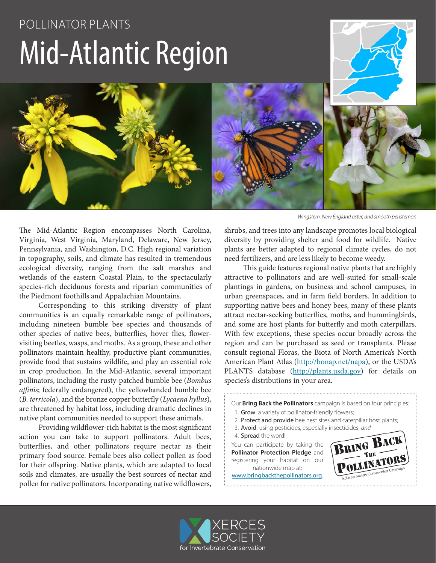# POLLINATOR PLANTS Mid-Atlantic Region

The Mid-Atlantic Region encompasses North Carolina, Virginia, West Virginia, Maryland, Delaware, New Jersey, Pennsylvania, and Washington, D.C. High regional variation in topography, soils, and climate has resulted in tremendous ecological diversity, ranging from the salt marshes and wetlands of the eastern Coastal Plain, to the spectacularly species-rich deciduous forests and riparian communities of the Piedmont foothills and Appalachian Mountains.

Corresponding to this striking diversity of plant communities is an equally remarkable range of pollinators, including nineteen bumble bee species and thousands of other species of native bees, butterflies, hover flies, flowervisiting beetles, wasps, and moths. As a group, these and other pollinators maintain healthy, productive plant communities, provide food that sustains wildlife, and play an essential role in crop production. In the Mid-Atlantic, several important pollinators, including the rusty-patched bumble bee (*Bombus affinis*; federally endangered), the yellowbanded bumble bee (*B. terricola*), and the bronze copper butterfly (*Lycaena hyllus*), are threatened by habitat loss, including dramatic declines in native plant communities needed to support these animals.

Providing wildflower-rich habitat is the most significant action you can take to support pollinators. Adult bees, butterflies, and other pollinators require nectar as their primary food source. Female bees also collect pollen as food for their offspring. Native plants, which are adapted to local soils and climates, are usually the best sources of nectar and pollen for native pollinators. Incorporating native wildflowers,

*Wingstem, New England aster, and smooth penstemon*

shrubs, and trees into any landscape promotes local biological diversity by providing shelter and food for wildlife. Native plants are better adapted to regional climate cycles, do not need fertilizers, and are less likely to become weedy.

This guide features regional native plants that are highly attractive to pollinators and are well-suited for small-scale plantings in gardens, on business and school campuses, in urban greenspaces, and in farm field borders. In addition to supporting native bees and honey bees, many of these plants attract nectar-seeking butterflies, moths, and hummingbirds, and some are host plants for butterfly and moth caterpillars. With few exceptions, these species occur broadly across the region and can be purchased as seed or transplants. Please consult regional Floras, the Biota of North America's North American Plant Atlas (http://bonap.net/napa), or the USDA's PLANTS database (http://plants.usda.gov) for details on species's distributions in your area.

Our **Bring Back the Pollinators** campaign is based on four principles:

- 1. Grow a variety of pollinator-friendly flowers;
- 2. Protect and provide bee nest sites and caterpillar host plants;
- 3. Avoid using pesticides, especially insecticides; *and*
- 4. Spread the word!

You can participate by taking the **Pollinator Protection Pledge** and registering your habitat on our nationwide map at:

www.bringbackthepollinators.org.



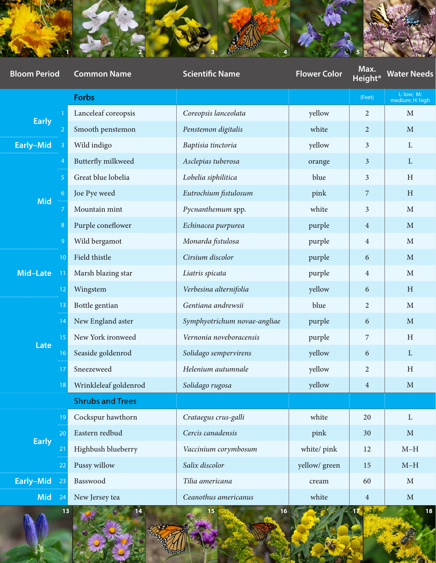

| <b>Bloom Period</b> | <b>Common Name</b>      | <b>Scientific Name</b>       | <b>Flower Color</b> | Max.<br>Height* | <b>Water Needs</b>            |
|---------------------|-------------------------|------------------------------|---------------------|-----------------|-------------------------------|
|                     | Forbs                   |                              |                     | (Feet)          | L: low; M:<br>medium; H: high |
| <b>Early</b>        | Lanceleaf coreopsis     | Coreopsis lanceolata         | yellow              | $\overline{2}$  | $M_{\odot}$                   |
|                     | Smooth penstemon        | Penstemon digitalis          | white               | $\overline{2}$  | $M_{\odot}$                   |
| Early-Mid           | Wild indigo             | Baptisia tinctoria           | yellow              | $\mathbf{3}$    | $\mathbf{L}$                  |
| Mid -               | Butterfly milkweed      | Asclepias tuberosa           | orange              | $\mathbf{3}$    | L                             |
|                     | Great blue lobelia      | Lobelia siphilitica          | blue                | $\mathbf{3}$    | $\, {\rm H}$                  |
|                     | Joe Pye weed            | Eutrochium fistulosum        | pink                | $\overline{7}$  | $\, {\rm H}$                  |
|                     | Mountain mint           | Pycnanthemum spp.            | white               | $\mathbf{3}$    | $M_{\odot}$                   |
|                     | Purple coneflower       | Echinacea purpurea           | purple              | $\overline{4}$  | $\mathbf{M}$                  |
|                     | Wild bergamot           | Monarda fistulosa            | purple              | $\overline{4}$  | $\mathbf{M}$                  |
| Mid-Late 1          | Field thistle           | Cirsium discolor             | purple              | 6               | $M_{\odot}$                   |
|                     | Marsh blazing star      | Liatris spicata              | purple              | $\overline{4}$  | $\mathbf M$                   |
|                     | Wingstem                | Verbesina alternifolia       | yellow              | 6               | H                             |
| Late                | Bottle gentian          | Gentiana andrewsii           | blue                | 2               | $\mathbf{M}$                  |
|                     | New England aster       | Symphyotrichum novae-angliae | purple              | 6               | $M_{\odot}$                   |
|                     | New York ironweed       | Vernonia noveboracensis      | purple              | $\overline{7}$  | $\, {\rm H}$                  |
|                     | Seaside goldenrod       | Solidago sempervirens        | yellow              | 6               | $\mathbf{L}$                  |
|                     | Sneezeweed              | Helenium autumnale           | yellow              | 2               | $\mathbf H$                   |
|                     | Wrinkleleaf goldenrod   | Solidago rugosa              | yellow              | $\overline{4}$  | M                             |
|                     | <b>Shrubs and Trees</b> |                              |                     |                 |                               |
| Early               | Cockspur hawthorn       | Crataegus crus-galli         | white               | 20              | $\Gamma$                      |
|                     | Eastern redbud          | Cercis canadensis            | pink                | 30              | $M_{\odot}$                   |
|                     | Highbush blueberry      | Vaccinium corymbosum         | white/ pink         | 12              | $M-H$                         |
|                     | Pussy willow            | Salix discolor               | yellow/green        | 15              | $M-H$                         |
| Early-Mid           | Basswood                | Tilia americana              | cream               | 60              | $\mathbf{M}$                  |
| <b>Mid</b>          | New Jersey tea          | Ceanothus americanus         | white               | $\overline{4}$  | $\mathbf{M}$                  |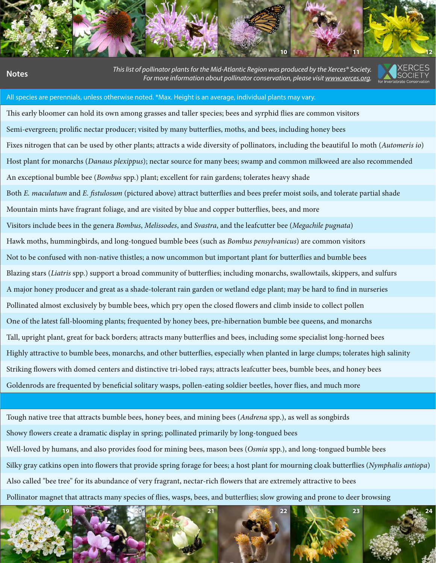

**1 2 3 4 5 6 7 8 9 10 11 12**

**13 14 15 16 17 18 19 20 21 22 23 24**

This list of pollinator plants for the Mid-Atlantic Region was produced by the Xerces® Society.<br>.For more information about pollinator conservation, please visit <u>www.xerces.org</u>



#### All species are perennials, unless otherwise noted. \*Max. Height is an average, individual plants may vary.

This early bloomer can hold its own among grasses and taller species; bees and syrphid flies are common visitors Semi-evergreen; prolific nectar producer; visited by many butterflies, moths, and bees, including honey bees Fixes nitrogen that can be used by other plants; attracts a wide diversity of pollinators, including the beautiful Io moth (*Automeris io*) Host plant for monarchs (*Danaus plexippus*); nectar source for many bees; swamp and common milkweed are also recommended 5 Great blue lobelia *Lobelia siphilitica* blue 3 H An exceptional bumble bee (*Bombus* spp.) plant; excellent for rain gardens; tolerates heavy shade Both *E. maculatum* and *E. fistulosum* (pictured above) attract butterflies and bees prefer moist soils, and tolerate partial shade Mountain mints have fragrant foliage, and are visited by blue and copper butterflies, bees, and more 8 Purple coneflower *Echinacea purpurea* purple 4 M Visitors include bees in the genera *Bombus*, *Melissodes*, and *Svastra*, and the leafcutter bee (*Megachile pugnata*) 9 Wild bergamot *Monarda fistulosa* purple 4 M Hawk moths, hummingbirds, and long-tongued bumble bees (such as *Bombus pensylvanicus*) are common visitors Not to be confused with non-native thistles; a now uncommon but important plant for butterflies and bumble bees Blazing stars (*Liatris* spp.) support a broad community of butterflies; including monarchs, swallowtails, skippers, and sulfurs A major honey producer and great as a shade-tolerant rain garden or wetland edge plant; may be hard to find in nurseries Pollinated almost exclusively by bumble bees, which pry open the closed flowers and climb inside to collect pollen One of the latest fall-blooming plants; frequented by honey bees, pre-hibernation bumble bee queens, and monarchs Tall, upright plant, great for back borders; attracts many butterflies and bees, including some specialist long-horned bees Highly attractive to bumble bees, monarchs, and other butterflies, especially when planted in large clumps; tolerates high salinity Striking flowers with domed centers and distinctive tri-lobed rays; attracts leafcutter bees, bumble bees, and honey bees Goldenrods are frequented by beneficial solitary wasps, pollen-eating soldier beetles, hover flies, and much more

Tough native tree that attracts bumble bees, honey bees, and mining bees (*Andrena* spp.), as well as songbirds Showy flowers create a dramatic display in spring; pollinated primarily by long-tongued bees

Well-loved by humans, and also provides food for mining bees, mason bees (*Osmia* spp.), and long-tongued bumble bees 22 Pussy willow *Salix discolor* yellow/ green 15 M–H Silky gray catkins open into flowers that provide spring forage for bees; a host plant for mourning cloak butterflies (*Nymphalis antiopa*) Also called "bee tree" for its abundance of very fragrant, nectar-rich flowers that are extremely attractive to bees Pollinator magnet that attracts many species of flies, wasps, bees, and butterflies; slow growing and prone to deer browsing